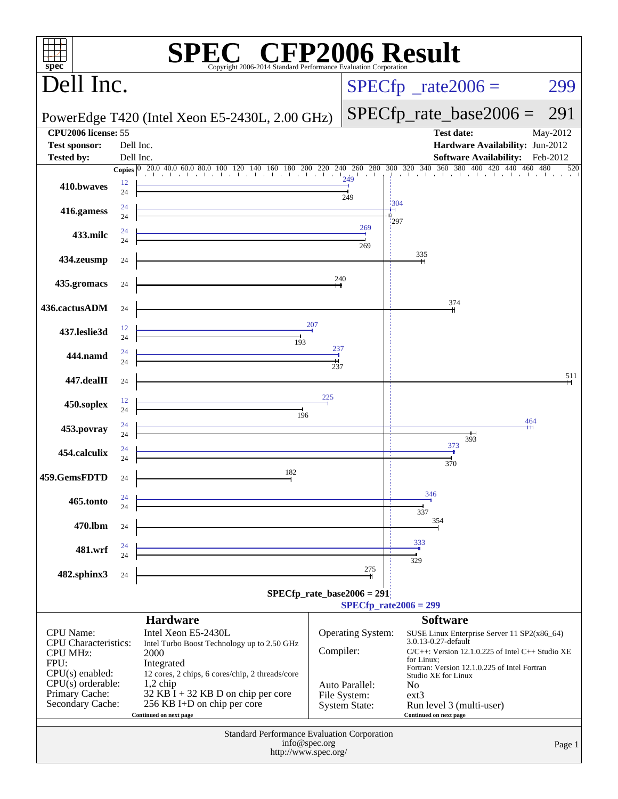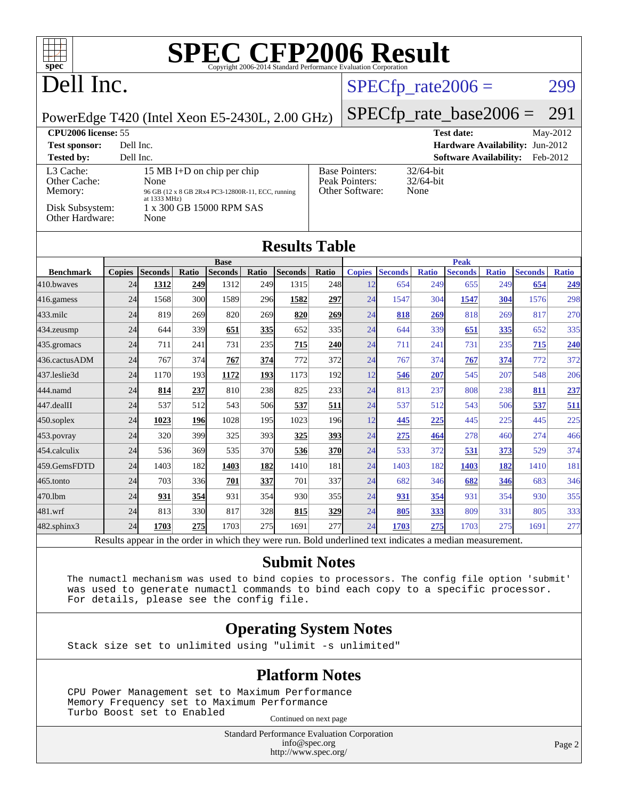

# Dell Inc.

## $SPECTp_rate2006 = 299$

PowerEdge T420 (Intel Xeon E5-2430L, 2.00 GHz)

[SPECfp\\_rate\\_base2006 =](http://www.spec.org/auto/cpu2006/Docs/result-fields.html#SPECfpratebase2006) 291

| <b>CPU2006 license: 55</b>                              |                                                                                                                                                |                                                            | <b>Test date:</b><br>$May-2012$           |
|---------------------------------------------------------|------------------------------------------------------------------------------------------------------------------------------------------------|------------------------------------------------------------|-------------------------------------------|
| <b>Test sponsor:</b>                                    | Dell Inc.                                                                                                                                      |                                                            | <b>Hardware Availability: Jun-2012</b>    |
| <b>Tested by:</b>                                       | Dell Inc.                                                                                                                                      |                                                            | <b>Software Availability:</b><br>Feb-2012 |
| L3 Cache:<br>Other Cache:<br>Memory:<br>Disk Subsystem: | 15 MB I+D on chip per chip<br>None<br>96 GB (12 x 8 GB 2Rx4 PC3-12800R-11, ECC, running<br>at $1333 \text{ MHz}$ )<br>1 x 300 GB 15000 RPM SAS | <b>Base Pointers:</b><br>Peak Pointers:<br>Other Software: | $32/64$ -bit<br>$32/64$ -bit<br>None      |
| Other Hardware:                                         | None                                                                                                                                           |                                                            |                                           |

### **[Results Table](http://www.spec.org/auto/cpu2006/Docs/result-fields.html#ResultsTable)**

|                                                                                 |               |                |            | <b>Base</b>    |       |                |            |               | <b>Peak</b>    |              |                |              |                |              |
|---------------------------------------------------------------------------------|---------------|----------------|------------|----------------|-------|----------------|------------|---------------|----------------|--------------|----------------|--------------|----------------|--------------|
| <b>Benchmark</b>                                                                | <b>Copies</b> | <b>Seconds</b> | Ratio      | <b>Seconds</b> | Ratio | <b>Seconds</b> | Ratio      | <b>Copies</b> | <b>Seconds</b> | <b>Ratio</b> | <b>Seconds</b> | <b>Ratio</b> | <b>Seconds</b> | <b>Ratio</b> |
| 410.bwayes                                                                      | 24            | 1312           | <u>249</u> | 1312           | 249   | 1315           | 248        | 12            | 654            | 249          | 655            | 249          | 654            | 249          |
| 416.gamess                                                                      | 24            | 1568           | 300        | 1589           | 296   | 1582           | 297        | 24            | 1547           | 304          | 1547           | 304          | 1576           | 298          |
| $433$ .milc                                                                     | 24            | 819            | 269        | 820            | 269   | 820            | 269        | 24            | 818            | 269          | 818            | 269          | 817            | 270          |
| 434.zeusmp                                                                      | 24            | 644            | 339        | 651            | 335   | 652            | 335        | 24            | 644            | 339          | 651            | 335          | 652            | 335          |
| 435.gromacs                                                                     | 24            | 711            | 241        | 731            | 235   | 715            | 240        | 24            | 711            | 241          | 731            | 235          | 715            | 240          |
| 436.cactusADM                                                                   | 24            | 767            | 374        | 767            | 374   | 772            | 372        | 24            | 767            | 374          | 767            | 374          | 772            | 372          |
| 437.leslie3d                                                                    | 24            | 1170           | 193        | 1172           | 193   | 1173           | 192        | 12            | 546            | 207          | 545            | 207          | 548            | 206          |
| 444.namd                                                                        | 24            | 814            | 237        | 810            | 238   | 825            | 233        | 24            | 813            | 237          | 808            | 238          | 811            | 237          |
| 447.dealII                                                                      | 24            | 537            | 512        | 543            | 506   | 537            | 511        | 24            | 537            | 512          | 543            | 506          | 537            | 511          |
| $450$ .soplex                                                                   | 24            | 1023           | 196        | 1028           | 195   | 1023           | 196        | 12            | 445            | 225          | 445            | 225          | 445            | 225          |
| $453$ . povray                                                                  | 24            | 320            | 399        | 325            | 393   | 325            | 393        | 24            | 275            | 464          | 278            | 460          | 274            | 466          |
| 454.calculix                                                                    | 24            | 536            | 369        | 535            | 370   | 536            | <b>370</b> | 24            | 533            | 372          | 531            | 373          | 529            | 374          |
| 459.GemsFDTD                                                                    | 24            | 1403           | 182        | 1403           | 182   | 1410           | 181        | 24            | 1403           | 182          | 1403           | <u>182</u>   | 1410           | 181          |
| $465$ .tonto                                                                    | 24            | 703            | 336        | 701            | 337   | 701            | 337        | 24            | 682            | 346          | 682            | 346          | 683            | 346          |
| 470.1bm                                                                         | 24            | 931            | <u>354</u> | 931            | 354   | 930            | 355I       | 24            | 931            | 354          | 931            | 354          | 930            | 355          |
| 481.wrf                                                                         | 24            | 813            | 330        | 817            | 328   | 815            | 329        | 24            | 805            | 333          | 809            | 331          | 805            | 333          |
| 482.sphinx3                                                                     | 24            | 1703           | 275        | 1703           | 275   | 1691           | 277        | 24            | 1703           | 275          | 1703           | 275          | 1691           | 277          |
| 1, 2, 1, 11<br>$\mathbf{A}$<br><sub>D</sub><br>5.71.<br>D.11<br>1.1<br>$1 - 11$ |               |                |            |                |       |                |            |               |                |              |                |              |                |              |

Results appear in the [order in which they were run.](http://www.spec.org/auto/cpu2006/Docs/result-fields.html#RunOrder) Bold underlined text [indicates a median measurement.](http://www.spec.org/auto/cpu2006/Docs/result-fields.html#Median)

### **[Submit Notes](http://www.spec.org/auto/cpu2006/Docs/result-fields.html#SubmitNotes)**

 The numactl mechanism was used to bind copies to processors. The config file option 'submit' was used to generate numactl commands to bind each copy to a specific processor. For details, please see the config file.

### **[Operating System Notes](http://www.spec.org/auto/cpu2006/Docs/result-fields.html#OperatingSystemNotes)**

Stack size set to unlimited using "ulimit -s unlimited"

#### **[Platform Notes](http://www.spec.org/auto/cpu2006/Docs/result-fields.html#PlatformNotes)**

 CPU Power Management set to Maximum Performance Memory Frequency set to Maximum Performance Turbo Boost set to Enabled Continued on next page

> Standard Performance Evaluation Corporation [info@spec.org](mailto:info@spec.org) <http://www.spec.org/>

Page 2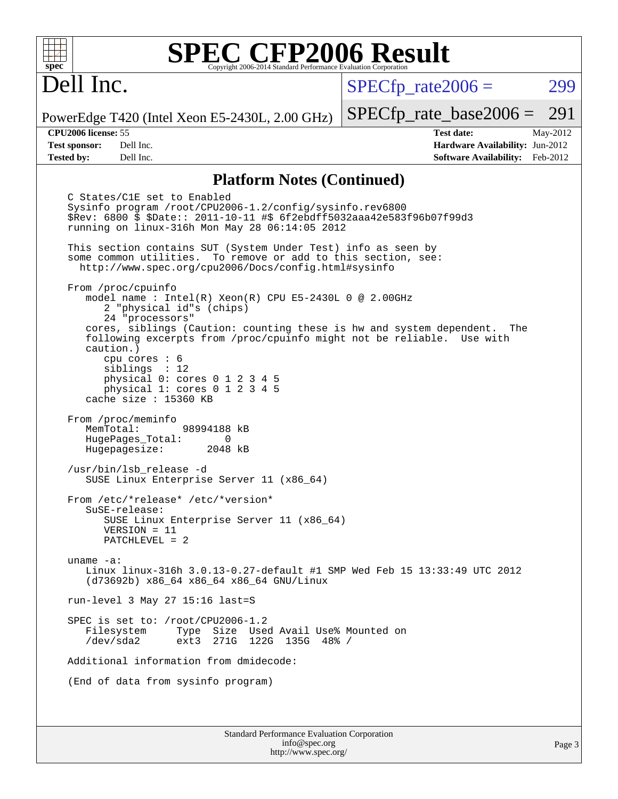# Dell Inc.

 $SPECTp\_rate2006 = 299$ 

PowerEdge T420 (Intel Xeon E5-2430L, 2.00 GHz)

[SPECfp\\_rate\\_base2006 =](http://www.spec.org/auto/cpu2006/Docs/result-fields.html#SPECfpratebase2006) 291 **[CPU2006 license:](http://www.spec.org/auto/cpu2006/Docs/result-fields.html#CPU2006license)** 55 **[Test date:](http://www.spec.org/auto/cpu2006/Docs/result-fields.html#Testdate)** May-2012

**[Test sponsor:](http://www.spec.org/auto/cpu2006/Docs/result-fields.html#Testsponsor)** Dell Inc. **[Hardware Availability:](http://www.spec.org/auto/cpu2006/Docs/result-fields.html#HardwareAvailability)** Jun-2012 **[Tested by:](http://www.spec.org/auto/cpu2006/Docs/result-fields.html#Testedby)** Dell Inc. **[Software Availability:](http://www.spec.org/auto/cpu2006/Docs/result-fields.html#SoftwareAvailability)** Feb-2012

#### **[Platform Notes \(Continued\)](http://www.spec.org/auto/cpu2006/Docs/result-fields.html#PlatformNotes)**

Standard Performance Evaluation Corporation C States/C1E set to Enabled Sysinfo program /root/CPU2006-1.2/config/sysinfo.rev6800 \$Rev: 6800 \$ \$Date:: 2011-10-11 #\$ 6f2ebdff5032aaa42e583f96b07f99d3 running on linux-316h Mon May 28 06:14:05 2012 This section contains SUT (System Under Test) info as seen by some common utilities. To remove or add to this section, see: <http://www.spec.org/cpu2006/Docs/config.html#sysinfo> From /proc/cpuinfo model name : Intel(R) Xeon(R) CPU E5-2430L 0 @ 2.00GHz 2 "physical id"s (chips) 24 "processors" cores, siblings (Caution: counting these is hw and system dependent. The following excerpts from /proc/cpuinfo might not be reliable. Use with caution.) cpu cores : 6 siblings : 12 physical 0: cores 0 1 2 3 4 5 physical 1: cores 0 1 2 3 4 5 cache size : 15360 KB From /proc/meminfo MemTotal: 98994188 kB HugePages\_Total: 0<br>Hugepagesize: 2048 kB Hugepagesize: /usr/bin/lsb\_release -d SUSE Linux Enterprise Server 11 (x86\_64) From /etc/\*release\* /etc/\*version\* SuSE-release: SUSE Linux Enterprise Server 11 (x86\_64) VERSION = 11 PATCHLEVEL = 2 uname -a: Linux linux-316h 3.0.13-0.27-default #1 SMP Wed Feb 15 13:33:49 UTC 2012 (d73692b) x86\_64 x86\_64 x86\_64 GNU/Linux run-level 3 May 27 15:16 last=S SPEC is set to: /root/CPU2006-1.2<br>Filesystem Type Size Use Type Size Used Avail Use% Mounted on /dev/sda2 ext3 271G 122G 135G 48% / Additional information from dmidecode: (End of data from sysinfo program)

[info@spec.org](mailto:info@spec.org) <http://www.spec.org/>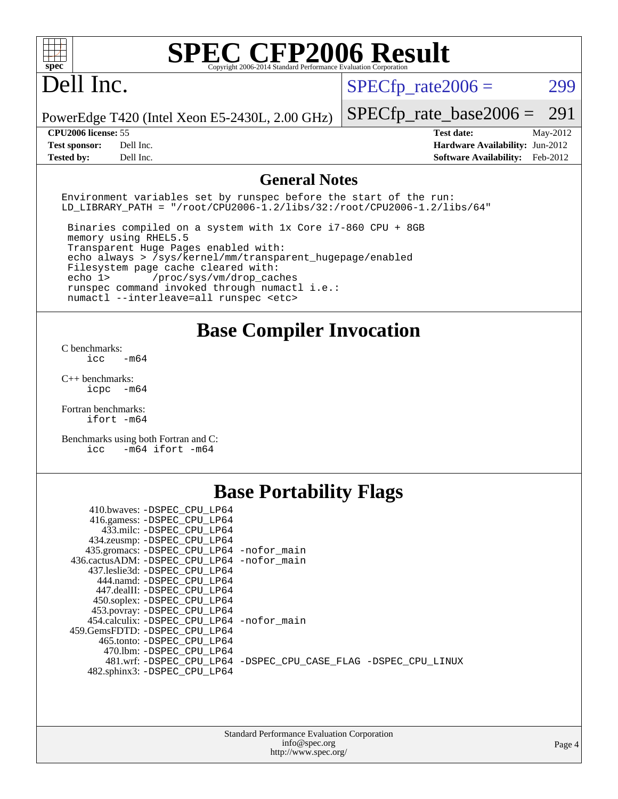# Dell Inc.

 $SPECTp_rate2006 = 299$ 

PowerEdge T420 (Intel Xeon E5-2430L, 2.00 GHz)

**[Tested by:](http://www.spec.org/auto/cpu2006/Docs/result-fields.html#Testedby)** Dell Inc. **[Software Availability:](http://www.spec.org/auto/cpu2006/Docs/result-fields.html#SoftwareAvailability)** Feb-2012

[SPECfp\\_rate\\_base2006 =](http://www.spec.org/auto/cpu2006/Docs/result-fields.html#SPECfpratebase2006) 291 **[CPU2006 license:](http://www.spec.org/auto/cpu2006/Docs/result-fields.html#CPU2006license)** 55 **[Test date:](http://www.spec.org/auto/cpu2006/Docs/result-fields.html#Testdate)** May-2012 **[Test sponsor:](http://www.spec.org/auto/cpu2006/Docs/result-fields.html#Testsponsor)** Dell Inc. **[Hardware Availability:](http://www.spec.org/auto/cpu2006/Docs/result-fields.html#HardwareAvailability)** Jun-2012

#### **[General Notes](http://www.spec.org/auto/cpu2006/Docs/result-fields.html#GeneralNotes)**

Environment variables set by runspec before the start of the run: LD LIBRARY PATH = "/root/CPU2006-1.2/libs/32:/root/CPU2006-1.2/libs/64"

 Binaries compiled on a system with 1x Core i7-860 CPU + 8GB memory using RHEL5.5 Transparent Huge Pages enabled with: echo always > /sys/kernel/mm/transparent\_hugepage/enabled Filesystem page cache cleared with: echo 1> /proc/sys/vm/drop\_caches runspec command invoked through numactl i.e.: numactl --interleave=all runspec <etc>

**[Base Compiler Invocation](http://www.spec.org/auto/cpu2006/Docs/result-fields.html#BaseCompilerInvocation)**

[C benchmarks](http://www.spec.org/auto/cpu2006/Docs/result-fields.html#Cbenchmarks):  $\frac{1}{2}$ cc  $-\text{m64}$ 

[C++ benchmarks:](http://www.spec.org/auto/cpu2006/Docs/result-fields.html#CXXbenchmarks) [icpc -m64](http://www.spec.org/cpu2006/results/res2012q3/cpu2006-20120703-23447.flags.html#user_CXXbase_intel_icpc_64bit_bedb90c1146cab66620883ef4f41a67e)

[Fortran benchmarks](http://www.spec.org/auto/cpu2006/Docs/result-fields.html#Fortranbenchmarks): [ifort -m64](http://www.spec.org/cpu2006/results/res2012q3/cpu2006-20120703-23447.flags.html#user_FCbase_intel_ifort_64bit_ee9d0fb25645d0210d97eb0527dcc06e)

[Benchmarks using both Fortran and C](http://www.spec.org/auto/cpu2006/Docs/result-fields.html#BenchmarksusingbothFortranandC): [icc -m64](http://www.spec.org/cpu2006/results/res2012q3/cpu2006-20120703-23447.flags.html#user_CC_FCbase_intel_icc_64bit_0b7121f5ab7cfabee23d88897260401c) [ifort -m64](http://www.spec.org/cpu2006/results/res2012q3/cpu2006-20120703-23447.flags.html#user_CC_FCbase_intel_ifort_64bit_ee9d0fb25645d0210d97eb0527dcc06e)

## **[Base Portability Flags](http://www.spec.org/auto/cpu2006/Docs/result-fields.html#BasePortabilityFlags)**

| 410.bwaves: -DSPEC CPU LP64                |                                                                |
|--------------------------------------------|----------------------------------------------------------------|
| 416.gamess: -DSPEC_CPU_LP64                |                                                                |
| 433.milc: -DSPEC CPU LP64                  |                                                                |
| 434.zeusmp: - DSPEC_CPU_LP64               |                                                                |
| 435.gromacs: -DSPEC_CPU_LP64 -nofor_main   |                                                                |
| 436.cactusADM: -DSPEC CPU LP64 -nofor main |                                                                |
| 437.leslie3d: -DSPEC CPU LP64              |                                                                |
| 444.namd: -DSPEC CPU LP64                  |                                                                |
| 447.dealII: -DSPEC_CPU LP64                |                                                                |
| 450.soplex: -DSPEC_CPU_LP64                |                                                                |
| 453.povray: -DSPEC_CPU_LP64                |                                                                |
| 454.calculix: -DSPEC CPU LP64 -nofor main  |                                                                |
| 459.GemsFDTD: -DSPEC CPU LP64              |                                                                |
| 465.tonto: -DSPEC CPU LP64                 |                                                                |
| 470.1bm: - DSPEC CPU LP64                  |                                                                |
|                                            | 481.wrf: -DSPEC CPU_LP64 -DSPEC_CPU_CASE_FLAG -DSPEC_CPU_LINUX |
| 482.sphinx3: -DSPEC CPU LP64               |                                                                |
|                                            |                                                                |

| <b>Standard Performance Evaluation Corporation</b> |
|----------------------------------------------------|
| info@spec.org                                      |
| http://www.spec.org/                               |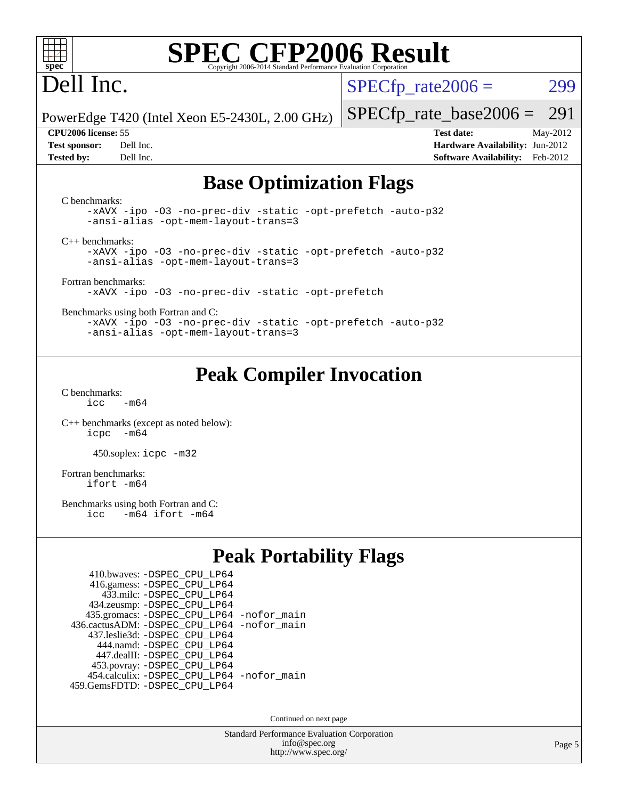

# Dell Inc.

 $SPECTp\_rate2006 = 299$ 

PowerEdge T420 (Intel Xeon E5-2430L, 2.00 GHz)

[SPECfp\\_rate\\_base2006 =](http://www.spec.org/auto/cpu2006/Docs/result-fields.html#SPECfpratebase2006) 291 **[CPU2006 license:](http://www.spec.org/auto/cpu2006/Docs/result-fields.html#CPU2006license)** 55 **[Test date:](http://www.spec.org/auto/cpu2006/Docs/result-fields.html#Testdate)** May-2012

**[Test sponsor:](http://www.spec.org/auto/cpu2006/Docs/result-fields.html#Testsponsor)** Dell Inc. **[Hardware Availability:](http://www.spec.org/auto/cpu2006/Docs/result-fields.html#HardwareAvailability)** Jun-2012 **[Tested by:](http://www.spec.org/auto/cpu2006/Docs/result-fields.html#Testedby)** Dell Inc. **[Software Availability:](http://www.spec.org/auto/cpu2006/Docs/result-fields.html#SoftwareAvailability)** Feb-2012

## **[Base Optimization Flags](http://www.spec.org/auto/cpu2006/Docs/result-fields.html#BaseOptimizationFlags)**

[C benchmarks](http://www.spec.org/auto/cpu2006/Docs/result-fields.html#Cbenchmarks): [-xAVX](http://www.spec.org/cpu2006/results/res2012q3/cpu2006-20120703-23447.flags.html#user_CCbase_f-xAVX) [-ipo](http://www.spec.org/cpu2006/results/res2012q3/cpu2006-20120703-23447.flags.html#user_CCbase_f-ipo) [-O3](http://www.spec.org/cpu2006/results/res2012q3/cpu2006-20120703-23447.flags.html#user_CCbase_f-O3) [-no-prec-div](http://www.spec.org/cpu2006/results/res2012q3/cpu2006-20120703-23447.flags.html#user_CCbase_f-no-prec-div) [-static](http://www.spec.org/cpu2006/results/res2012q3/cpu2006-20120703-23447.flags.html#user_CCbase_f-static) [-opt-prefetch](http://www.spec.org/cpu2006/results/res2012q3/cpu2006-20120703-23447.flags.html#user_CCbase_f-opt-prefetch) [-auto-p32](http://www.spec.org/cpu2006/results/res2012q3/cpu2006-20120703-23447.flags.html#user_CCbase_f-auto-p32) [-ansi-alias](http://www.spec.org/cpu2006/results/res2012q3/cpu2006-20120703-23447.flags.html#user_CCbase_f-ansi-alias) [-opt-mem-layout-trans=3](http://www.spec.org/cpu2006/results/res2012q3/cpu2006-20120703-23447.flags.html#user_CCbase_f-opt-mem-layout-trans_a7b82ad4bd7abf52556d4961a2ae94d5) [C++ benchmarks:](http://www.spec.org/auto/cpu2006/Docs/result-fields.html#CXXbenchmarks) [-xAVX](http://www.spec.org/cpu2006/results/res2012q3/cpu2006-20120703-23447.flags.html#user_CXXbase_f-xAVX) [-ipo](http://www.spec.org/cpu2006/results/res2012q3/cpu2006-20120703-23447.flags.html#user_CXXbase_f-ipo) [-O3](http://www.spec.org/cpu2006/results/res2012q3/cpu2006-20120703-23447.flags.html#user_CXXbase_f-O3) [-no-prec-div](http://www.spec.org/cpu2006/results/res2012q3/cpu2006-20120703-23447.flags.html#user_CXXbase_f-no-prec-div) [-static](http://www.spec.org/cpu2006/results/res2012q3/cpu2006-20120703-23447.flags.html#user_CXXbase_f-static) [-opt-prefetch](http://www.spec.org/cpu2006/results/res2012q3/cpu2006-20120703-23447.flags.html#user_CXXbase_f-opt-prefetch) [-auto-p32](http://www.spec.org/cpu2006/results/res2012q3/cpu2006-20120703-23447.flags.html#user_CXXbase_f-auto-p32) [-ansi-alias](http://www.spec.org/cpu2006/results/res2012q3/cpu2006-20120703-23447.flags.html#user_CXXbase_f-ansi-alias) [-opt-mem-layout-trans=3](http://www.spec.org/cpu2006/results/res2012q3/cpu2006-20120703-23447.flags.html#user_CXXbase_f-opt-mem-layout-trans_a7b82ad4bd7abf52556d4961a2ae94d5) [Fortran benchmarks](http://www.spec.org/auto/cpu2006/Docs/result-fields.html#Fortranbenchmarks): [-xAVX](http://www.spec.org/cpu2006/results/res2012q3/cpu2006-20120703-23447.flags.html#user_FCbase_f-xAVX) [-ipo](http://www.spec.org/cpu2006/results/res2012q3/cpu2006-20120703-23447.flags.html#user_FCbase_f-ipo) [-O3](http://www.spec.org/cpu2006/results/res2012q3/cpu2006-20120703-23447.flags.html#user_FCbase_f-O3) [-no-prec-div](http://www.spec.org/cpu2006/results/res2012q3/cpu2006-20120703-23447.flags.html#user_FCbase_f-no-prec-div) [-static](http://www.spec.org/cpu2006/results/res2012q3/cpu2006-20120703-23447.flags.html#user_FCbase_f-static) [-opt-prefetch](http://www.spec.org/cpu2006/results/res2012q3/cpu2006-20120703-23447.flags.html#user_FCbase_f-opt-prefetch) [Benchmarks using both Fortran and C](http://www.spec.org/auto/cpu2006/Docs/result-fields.html#BenchmarksusingbothFortranandC): [-xAVX](http://www.spec.org/cpu2006/results/res2012q3/cpu2006-20120703-23447.flags.html#user_CC_FCbase_f-xAVX) [-ipo](http://www.spec.org/cpu2006/results/res2012q3/cpu2006-20120703-23447.flags.html#user_CC_FCbase_f-ipo) [-O3](http://www.spec.org/cpu2006/results/res2012q3/cpu2006-20120703-23447.flags.html#user_CC_FCbase_f-O3) [-no-prec-div](http://www.spec.org/cpu2006/results/res2012q3/cpu2006-20120703-23447.flags.html#user_CC_FCbase_f-no-prec-div) [-static](http://www.spec.org/cpu2006/results/res2012q3/cpu2006-20120703-23447.flags.html#user_CC_FCbase_f-static) [-opt-prefetch](http://www.spec.org/cpu2006/results/res2012q3/cpu2006-20120703-23447.flags.html#user_CC_FCbase_f-opt-prefetch) [-auto-p32](http://www.spec.org/cpu2006/results/res2012q3/cpu2006-20120703-23447.flags.html#user_CC_FCbase_f-auto-p32) [-ansi-alias](http://www.spec.org/cpu2006/results/res2012q3/cpu2006-20120703-23447.flags.html#user_CC_FCbase_f-ansi-alias) [-opt-mem-layout-trans=3](http://www.spec.org/cpu2006/results/res2012q3/cpu2006-20120703-23447.flags.html#user_CC_FCbase_f-opt-mem-layout-trans_a7b82ad4bd7abf52556d4961a2ae94d5)

## **[Peak Compiler Invocation](http://www.spec.org/auto/cpu2006/Docs/result-fields.html#PeakCompilerInvocation)**

[C benchmarks](http://www.spec.org/auto/cpu2006/Docs/result-fields.html#Cbenchmarks):  $i<sub>c</sub>$   $-m64$ 

[C++ benchmarks \(except as noted below\):](http://www.spec.org/auto/cpu2006/Docs/result-fields.html#CXXbenchmarksexceptasnotedbelow) [icpc -m64](http://www.spec.org/cpu2006/results/res2012q3/cpu2006-20120703-23447.flags.html#user_CXXpeak_intel_icpc_64bit_bedb90c1146cab66620883ef4f41a67e)

450.soplex: [icpc -m32](http://www.spec.org/cpu2006/results/res2012q3/cpu2006-20120703-23447.flags.html#user_peakCXXLD450_soplex_intel_icpc_4e5a5ef1a53fd332b3c49e69c3330699)

[Fortran benchmarks](http://www.spec.org/auto/cpu2006/Docs/result-fields.html#Fortranbenchmarks): [ifort -m64](http://www.spec.org/cpu2006/results/res2012q3/cpu2006-20120703-23447.flags.html#user_FCpeak_intel_ifort_64bit_ee9d0fb25645d0210d97eb0527dcc06e)

[Benchmarks using both Fortran and C](http://www.spec.org/auto/cpu2006/Docs/result-fields.html#BenchmarksusingbothFortranandC):<br>icc -m64 ifort -m64  $-m64$  ifort  $-m64$ 

## **[Peak Portability Flags](http://www.spec.org/auto/cpu2006/Docs/result-fields.html#PeakPortabilityFlags)**

| 410.bwaves: - DSPEC_CPU_LP64                |  |
|---------------------------------------------|--|
| 416.gamess: -DSPEC_CPU_LP64                 |  |
| 433.milc: - DSPEC_CPU LP64                  |  |
| 434.zeusmp: -DSPEC_CPU_LP64                 |  |
| 435.gromacs: -DSPEC_CPU_LP64 -nofor_main    |  |
| 436.cactusADM: -DSPEC CPU LP64 -nofor main  |  |
| 437.leslie3d: -DSPEC CPU LP64               |  |
| 444.namd: - DSPEC CPU LP64                  |  |
| 447.dealII: -DSPEC CPU LP64                 |  |
| 453.povray: -DSPEC_CPU_LP64                 |  |
| 454.calculix: - DSPEC CPU LP64 - nofor main |  |
| 459.GemsFDTD: - DSPEC CPU LP64              |  |

Continued on next page

Standard Performance Evaluation Corporation [info@spec.org](mailto:info@spec.org) <http://www.spec.org/>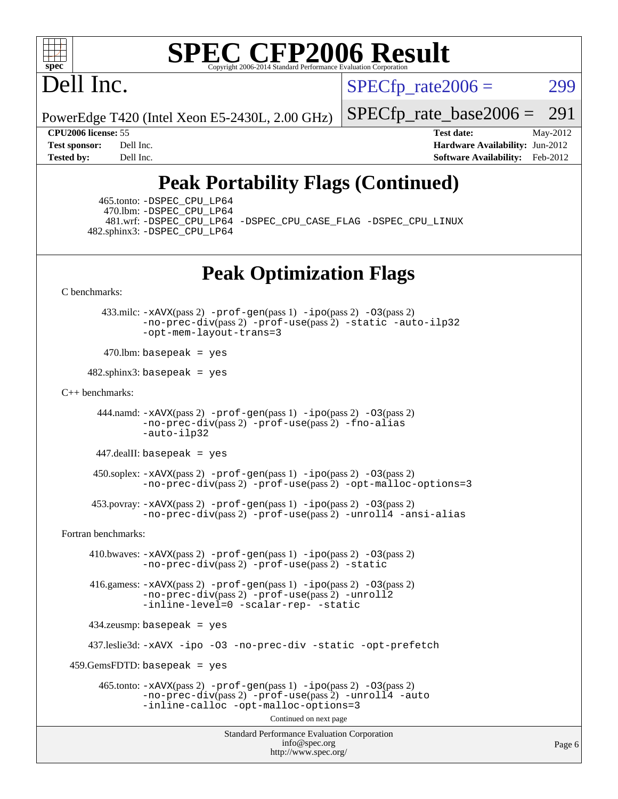

# Dell Inc.

 $SPECTp\_rate2006 = 299$ 

PowerEdge T420 (Intel Xeon E5-2430L, 2.00 GHz)

[SPECfp\\_rate\\_base2006 =](http://www.spec.org/auto/cpu2006/Docs/result-fields.html#SPECfpratebase2006) 291

**[CPU2006 license:](http://www.spec.org/auto/cpu2006/Docs/result-fields.html#CPU2006license)** 55 **[Test date:](http://www.spec.org/auto/cpu2006/Docs/result-fields.html#Testdate)** May-2012 **[Test sponsor:](http://www.spec.org/auto/cpu2006/Docs/result-fields.html#Testsponsor)** Dell Inc. **[Hardware Availability:](http://www.spec.org/auto/cpu2006/Docs/result-fields.html#HardwareAvailability)** Jun-2012 **[Tested by:](http://www.spec.org/auto/cpu2006/Docs/result-fields.html#Testedby)** Dell Inc. **[Software Availability:](http://www.spec.org/auto/cpu2006/Docs/result-fields.html#SoftwareAvailability)** Feb-2012

## **[Peak Portability Flags \(Continued\)](http://www.spec.org/auto/cpu2006/Docs/result-fields.html#PeakPortabilityFlags)**

 465.tonto: [-DSPEC\\_CPU\\_LP64](http://www.spec.org/cpu2006/results/res2012q3/cpu2006-20120703-23447.flags.html#suite_peakPORTABILITY465_tonto_DSPEC_CPU_LP64) 470.lbm: [-DSPEC\\_CPU\\_LP64](http://www.spec.org/cpu2006/results/res2012q3/cpu2006-20120703-23447.flags.html#suite_peakPORTABILITY470_lbm_DSPEC_CPU_LP64) 481.wrf: [-DSPEC\\_CPU\\_LP64](http://www.spec.org/cpu2006/results/res2012q3/cpu2006-20120703-23447.flags.html#suite_peakPORTABILITY481_wrf_DSPEC_CPU_LP64) [-DSPEC\\_CPU\\_CASE\\_FLAG](http://www.spec.org/cpu2006/results/res2012q3/cpu2006-20120703-23447.flags.html#b481.wrf_peakCPORTABILITY_DSPEC_CPU_CASE_FLAG) [-DSPEC\\_CPU\\_LINUX](http://www.spec.org/cpu2006/results/res2012q3/cpu2006-20120703-23447.flags.html#b481.wrf_peakCPORTABILITY_DSPEC_CPU_LINUX) 482.sphinx3: [-DSPEC\\_CPU\\_LP64](http://www.spec.org/cpu2006/results/res2012q3/cpu2006-20120703-23447.flags.html#suite_peakPORTABILITY482_sphinx3_DSPEC_CPU_LP64)

**[Peak Optimization Flags](http://www.spec.org/auto/cpu2006/Docs/result-fields.html#PeakOptimizationFlags)**

[C benchmarks](http://www.spec.org/auto/cpu2006/Docs/result-fields.html#Cbenchmarks):

 433.milc: [-xAVX](http://www.spec.org/cpu2006/results/res2012q3/cpu2006-20120703-23447.flags.html#user_peakPASS2_CFLAGSPASS2_LDFLAGS433_milc_f-xAVX)(pass 2) [-prof-gen](http://www.spec.org/cpu2006/results/res2012q3/cpu2006-20120703-23447.flags.html#user_peakPASS1_CFLAGSPASS1_LDFLAGS433_milc_prof_gen_e43856698f6ca7b7e442dfd80e94a8fc)(pass 1) [-ipo](http://www.spec.org/cpu2006/results/res2012q3/cpu2006-20120703-23447.flags.html#user_peakPASS2_CFLAGSPASS2_LDFLAGS433_milc_f-ipo)(pass 2) [-O3](http://www.spec.org/cpu2006/results/res2012q3/cpu2006-20120703-23447.flags.html#user_peakPASS2_CFLAGSPASS2_LDFLAGS433_milc_f-O3)(pass 2) [-no-prec-div](http://www.spec.org/cpu2006/results/res2012q3/cpu2006-20120703-23447.flags.html#user_peakPASS2_CFLAGSPASS2_LDFLAGS433_milc_f-no-prec-div)(pass 2) [-prof-use](http://www.spec.org/cpu2006/results/res2012q3/cpu2006-20120703-23447.flags.html#user_peakPASS2_CFLAGSPASS2_LDFLAGS433_milc_prof_use_bccf7792157ff70d64e32fe3e1250b55)(pass 2) [-static](http://www.spec.org/cpu2006/results/res2012q3/cpu2006-20120703-23447.flags.html#user_peakOPTIMIZE433_milc_f-static) [-auto-ilp32](http://www.spec.org/cpu2006/results/res2012q3/cpu2006-20120703-23447.flags.html#user_peakCOPTIMIZE433_milc_f-auto-ilp32) [-opt-mem-layout-trans=3](http://www.spec.org/cpu2006/results/res2012q3/cpu2006-20120703-23447.flags.html#user_peakCOPTIMIZE433_milc_f-opt-mem-layout-trans_a7b82ad4bd7abf52556d4961a2ae94d5)

 $470$ .lbm: basepeak = yes

 $482$ .sphinx3: basepeak = yes

#### [C++ benchmarks:](http://www.spec.org/auto/cpu2006/Docs/result-fields.html#CXXbenchmarks)

```
444.namd: -xAVX(pass 2) -prof-gen(pass 1) -ppo(pass 2) -03(pass 2)
 -no-prec-div(pass 2) -prof-use(pass 2) -fno-alias
 -auto-ilp32
```
447.dealII: basepeak = yes

 $450$ .soplex:  $-x$ AVX(pass 2)  $-p$ rof-gen(pass 1)  $-i$ po(pass 2)  $-03$ (pass 2) [-no-prec-div](http://www.spec.org/cpu2006/results/res2012q3/cpu2006-20120703-23447.flags.html#user_peakPASS2_CXXFLAGSPASS2_LDFLAGS450_soplex_f-no-prec-div)(pass 2) [-prof-use](http://www.spec.org/cpu2006/results/res2012q3/cpu2006-20120703-23447.flags.html#user_peakPASS2_CXXFLAGSPASS2_LDFLAGS450_soplex_prof_use_bccf7792157ff70d64e32fe3e1250b55)(pass 2) [-opt-malloc-options=3](http://www.spec.org/cpu2006/results/res2012q3/cpu2006-20120703-23447.flags.html#user_peakOPTIMIZE450_soplex_f-opt-malloc-options_13ab9b803cf986b4ee62f0a5998c2238)

```
 453.povray: -xAVX(pass 2) -prof-gen(pass 1) -ipo(pass 2) -O3(pass 2)
   -no-prec-div(pass 2) -prof-use(pass 2) -unroll4 -ansi-alias
```
[Fortran benchmarks](http://www.spec.org/auto/cpu2006/Docs/result-fields.html#Fortranbenchmarks):

 410.bwaves: [-xAVX](http://www.spec.org/cpu2006/results/res2012q3/cpu2006-20120703-23447.flags.html#user_peakPASS2_FFLAGSPASS2_LDFLAGS410_bwaves_f-xAVX)(pass 2) [-prof-gen](http://www.spec.org/cpu2006/results/res2012q3/cpu2006-20120703-23447.flags.html#user_peakPASS1_FFLAGSPASS1_LDFLAGS410_bwaves_prof_gen_e43856698f6ca7b7e442dfd80e94a8fc)(pass 1) [-ipo](http://www.spec.org/cpu2006/results/res2012q3/cpu2006-20120703-23447.flags.html#user_peakPASS2_FFLAGSPASS2_LDFLAGS410_bwaves_f-ipo)(pass 2) [-O3](http://www.spec.org/cpu2006/results/res2012q3/cpu2006-20120703-23447.flags.html#user_peakPASS2_FFLAGSPASS2_LDFLAGS410_bwaves_f-O3)(pass 2) [-no-prec-div](http://www.spec.org/cpu2006/results/res2012q3/cpu2006-20120703-23447.flags.html#user_peakPASS2_FFLAGSPASS2_LDFLAGS410_bwaves_f-no-prec-div)(pass 2) [-prof-use](http://www.spec.org/cpu2006/results/res2012q3/cpu2006-20120703-23447.flags.html#user_peakPASS2_FFLAGSPASS2_LDFLAGS410_bwaves_prof_use_bccf7792157ff70d64e32fe3e1250b55)(pass 2) [-static](http://www.spec.org/cpu2006/results/res2012q3/cpu2006-20120703-23447.flags.html#user_peakOPTIMIZE410_bwaves_f-static)

 416.gamess: [-xAVX](http://www.spec.org/cpu2006/results/res2012q3/cpu2006-20120703-23447.flags.html#user_peakPASS2_FFLAGSPASS2_LDFLAGS416_gamess_f-xAVX)(pass 2) [-prof-gen](http://www.spec.org/cpu2006/results/res2012q3/cpu2006-20120703-23447.flags.html#user_peakPASS1_FFLAGSPASS1_LDFLAGS416_gamess_prof_gen_e43856698f6ca7b7e442dfd80e94a8fc)(pass 1) [-ipo](http://www.spec.org/cpu2006/results/res2012q3/cpu2006-20120703-23447.flags.html#user_peakPASS2_FFLAGSPASS2_LDFLAGS416_gamess_f-ipo)(pass 2) [-O3](http://www.spec.org/cpu2006/results/res2012q3/cpu2006-20120703-23447.flags.html#user_peakPASS2_FFLAGSPASS2_LDFLAGS416_gamess_f-O3)(pass 2)  $-$ no-prec-div $(pass 2)$  [-prof-use](http://www.spec.org/cpu2006/results/res2012q3/cpu2006-20120703-23447.flags.html#user_peakPASS2_FFLAGSPASS2_LDFLAGS416_gamess_prof_use_bccf7792157ff70d64e32fe3e1250b55) $(pass 2)$  [-unroll2](http://www.spec.org/cpu2006/results/res2012q3/cpu2006-20120703-23447.flags.html#user_peakOPTIMIZE416_gamess_f-unroll_784dae83bebfb236979b41d2422d7ec2) [-inline-level=0](http://www.spec.org/cpu2006/results/res2012q3/cpu2006-20120703-23447.flags.html#user_peakOPTIMIZE416_gamess_f-inline-level_318d07a09274ad25e8d15dbfaa68ba50) [-scalar-rep-](http://www.spec.org/cpu2006/results/res2012q3/cpu2006-20120703-23447.flags.html#user_peakOPTIMIZE416_gamess_f-disablescalarrep_abbcad04450fb118e4809c81d83c8a1d) [-static](http://www.spec.org/cpu2006/results/res2012q3/cpu2006-20120703-23447.flags.html#user_peakOPTIMIZE416_gamess_f-static)

434.zeusmp: basepeak = yes

437.leslie3d: [-xAVX](http://www.spec.org/cpu2006/results/res2012q3/cpu2006-20120703-23447.flags.html#user_peakOPTIMIZE437_leslie3d_f-xAVX) [-ipo](http://www.spec.org/cpu2006/results/res2012q3/cpu2006-20120703-23447.flags.html#user_peakOPTIMIZE437_leslie3d_f-ipo) [-O3](http://www.spec.org/cpu2006/results/res2012q3/cpu2006-20120703-23447.flags.html#user_peakOPTIMIZE437_leslie3d_f-O3) [-no-prec-div](http://www.spec.org/cpu2006/results/res2012q3/cpu2006-20120703-23447.flags.html#user_peakOPTIMIZE437_leslie3d_f-no-prec-div) [-static](http://www.spec.org/cpu2006/results/res2012q3/cpu2006-20120703-23447.flags.html#user_peakOPTIMIZE437_leslie3d_f-static) [-opt-prefetch](http://www.spec.org/cpu2006/results/res2012q3/cpu2006-20120703-23447.flags.html#user_peakOPTIMIZE437_leslie3d_f-opt-prefetch)

459.GemsFDTD: basepeak = yes

```
465.tonto: -xAVX(pass 2) -prof-gen(pass 1) -po(pass 2) -03(pass 2)
-no-prec-div-prof-use-unroll4-auto
-inline-calloc -opt-malloc-options=3
```
Continued on next page

Standard Performance Evaluation Corporation [info@spec.org](mailto:info@spec.org) <http://www.spec.org/>